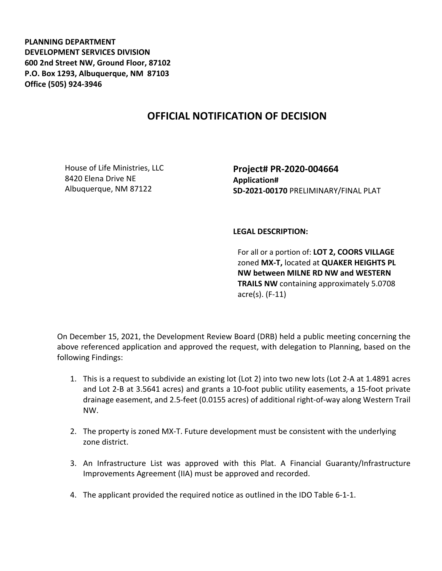**PLANNING DEPARTMENT DEVELOPMENT SERVICES DIVISION 600 2nd Street NW, Ground Floor, 87102 P.O. Box 1293, Albuquerque, NM 87103 Office (505) 924-3946** 

## **OFFICIAL NOTIFICATION OF DECISION**

House of Life Ministries, LLC 8420 Elena Drive NE Albuquerque, NM 87122

**Project# PR-2020-004664 Application# SD-2021-00170** PRELIMINARY/FINAL PLAT

## **LEGAL DESCRIPTION:**

For all or a portion of: **LOT 2, COORS VILLAGE**  zoned **MX-T,** located at **QUAKER HEIGHTS PL NW between MILNE RD NW and WESTERN TRAILS NW** containing approximately 5.0708 acre(s). (F-11)

On December 15, 2021, the Development Review Board (DRB) held a public meeting concerning the above referenced application and approved the request, with delegation to Planning, based on the following Findings:

- 1. This is a request to subdivide an existing lot (Lot 2) into two new lots (Lot 2-A at 1.4891 acres and Lot 2-B at 3.5641 acres) and grants a 10-foot public utility easements, a 15-foot private drainage easement, and 2.5-feet (0.0155 acres) of additional right-of-way along Western Trail NW.
- 2. The property is zoned MX-T. Future development must be consistent with the underlying zone district.
- 3. An Infrastructure List was approved with this Plat. A Financial Guaranty/Infrastructure Improvements Agreement (IIA) must be approved and recorded.
- 4. The applicant provided the required notice as outlined in the IDO Table 6-1-1.